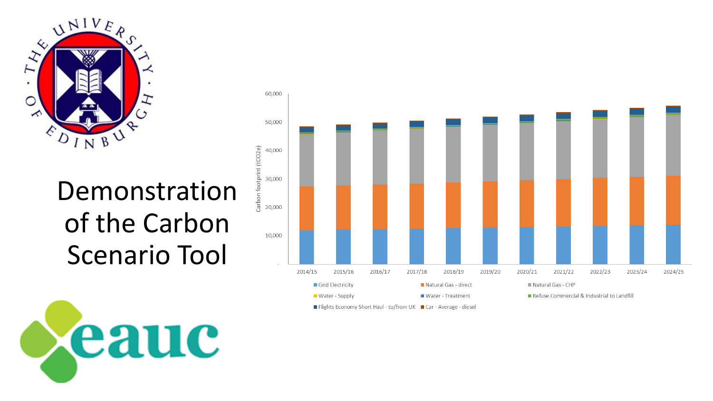

#### Demonstration of the Carbon Scenario Tool

eauc



Flights Economy Short Haul - to/from UK Car - Average - diesel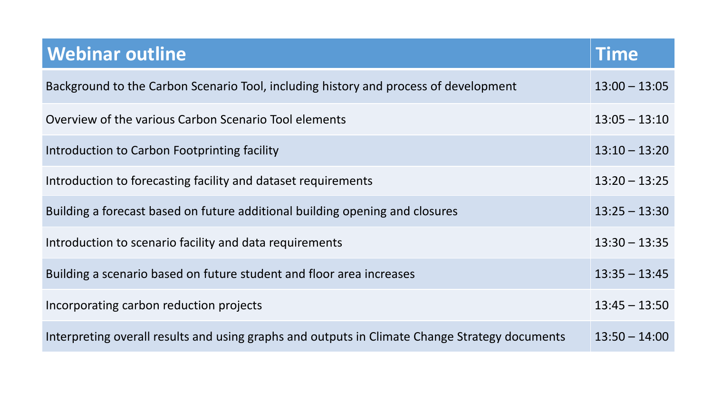| <b>Webinar outline</b>                                                                         | Time            |
|------------------------------------------------------------------------------------------------|-----------------|
| Background to the Carbon Scenario Tool, including history and process of development           | $13:00 - 13:05$ |
| Overview of the various Carbon Scenario Tool elements                                          | $13:05 - 13:10$ |
| Introduction to Carbon Footprinting facility                                                   | $13:10 - 13:20$ |
| Introduction to forecasting facility and dataset requirements                                  | $13:20 - 13:25$ |
| Building a forecast based on future additional building opening and closures                   | $13:25 - 13:30$ |
| Introduction to scenario facility and data requirements                                        | $13:30 - 13:35$ |
| Building a scenario based on future student and floor area increases                           | $13:35 - 13:45$ |
| Incorporating carbon reduction projects                                                        | $13:45 - 13:50$ |
| Interpreting overall results and using graphs and outputs in Climate Change Strategy documents | $13:50 - 14:00$ |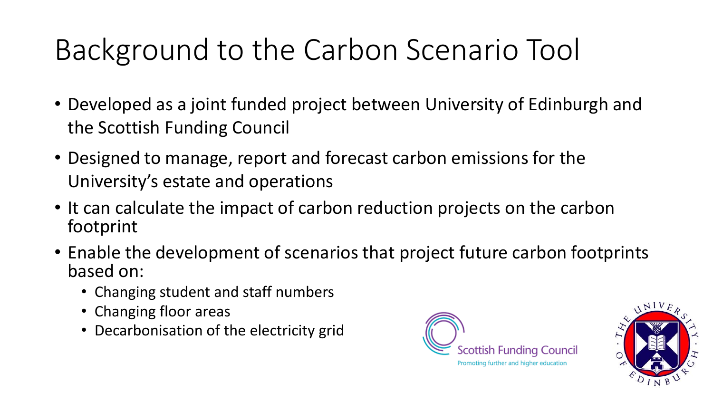## Background to the Carbon Scenario Tool

- Developed as a joint funded project between University of Edinburgh and the Scottish Funding Council
- Designed to manage, report and forecast carbon emissions for the University's estate and operations
- It can calculate the impact of carbon reduction projects on the carbon footprint
- Enable the development of scenarios that project future carbon footprints based on:
	- Changing student and staff numbers
	- Changing floor areas
	- Decarbonisation of the electricity grid



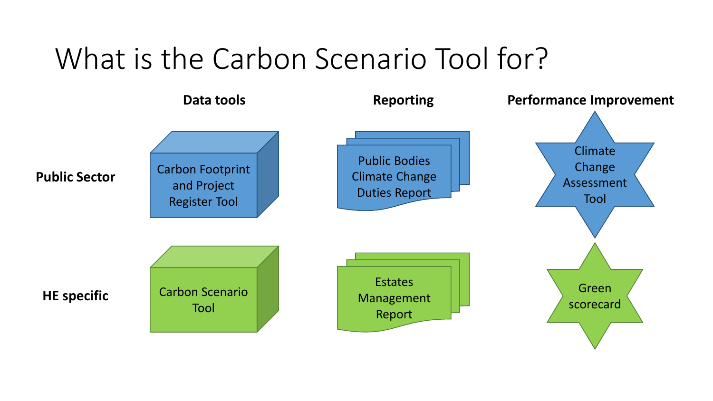#### What is the Carbon Scenario Tool for?

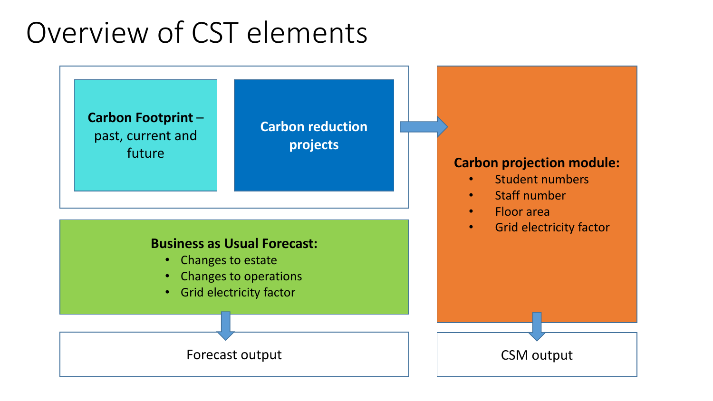#### Overview of CST elements

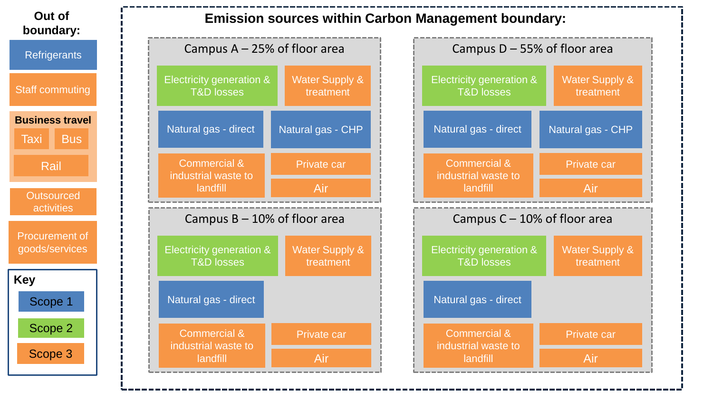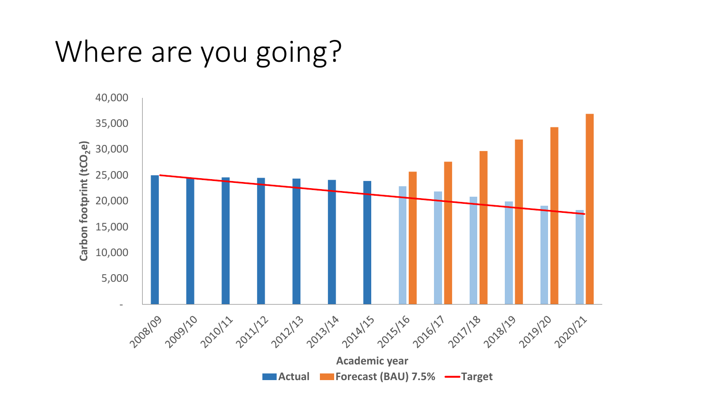### Where are you going?

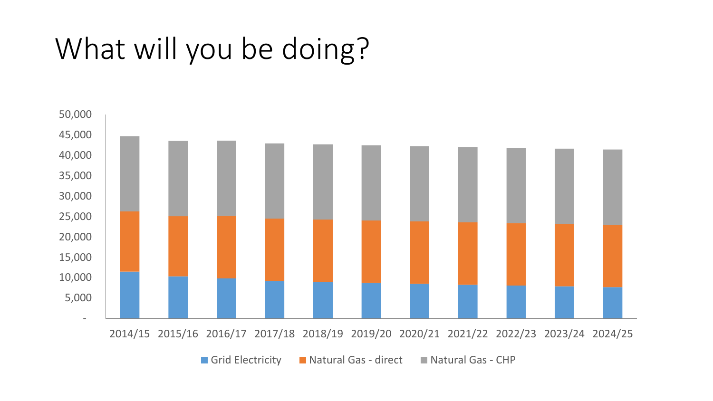### What will you be doing?

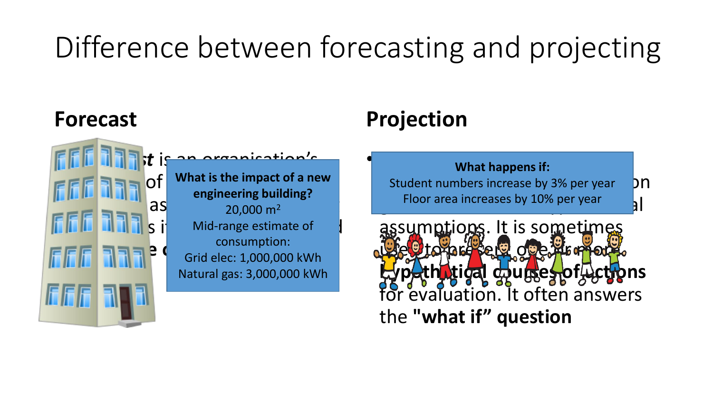# Difference between forecasting and projecting

#### **Forecast**

**to take**

**EFREMENT OF What is the impact of a new |**  $\frac{1}{2}$  as  $\frac{1}{20,000}$  m<sup>2</sup>  $\begin{array}{c} \begin{array}{c} \hline \end{array} \end{array}$   $\begin{array}{c} \hline \end{array}$   $\begin{array}{c} \hline \end{array}$   $\begin{array}{c} \hline \end{array}$   $\begin{array}{c} \hline \end{array}$   $\begin{array}{c} \hline \end{array}$   $\begin{array}{c} \hline \end{array}$   $\begin{array}{c} \hline \end{array}$   $\begin{array}{c} \hline \end{array}$ **FIFE REFIRERED CONSUMPTION: engineering building?** consumption: Natural gas: 3,000,000 kWh

• A *forecast* is an organisation's

#### **Projection**

**• A** *projection* **presents and presents and presents and presents and presents and presents and presents and presents and presents and presents and presents and presents and presents and presents and presents and presents** Student numbers increase by 3% per year  $\mathsf{p}$ Floor area increases by 10% per year all

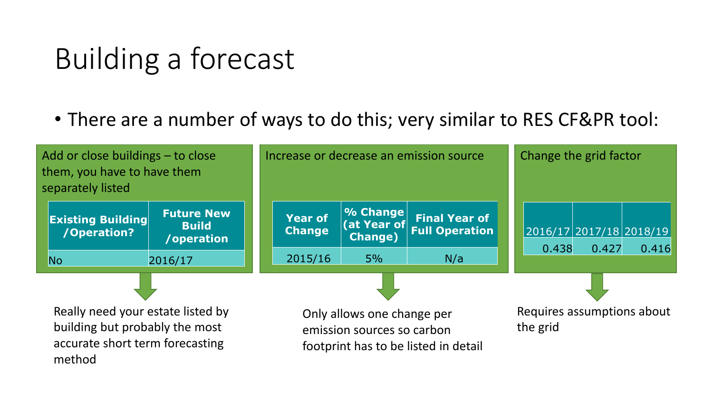### Building a forecast

• There are a number of ways to do this; very similar to RES CF&PR tool:

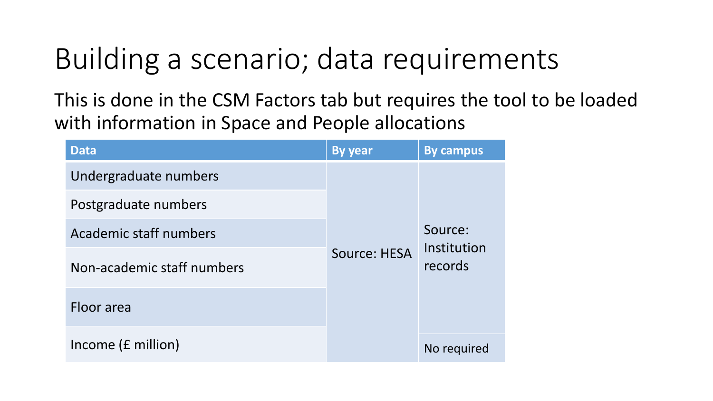### Building a scenario; data requirements

This is done in the CSM Factors tab but requires the tool to be loaded with information in Space and People allocations

| <b>Data</b>                   | <b>By year</b>                         | <b>By campus</b> |  |
|-------------------------------|----------------------------------------|------------------|--|
| Undergraduate numbers         |                                        |                  |  |
| Postgraduate numbers          |                                        |                  |  |
| <b>Academic staff numbers</b> |                                        | Source:          |  |
| Non-academic staff numbers    | Institution<br>Source: HESA<br>records |                  |  |
| Floor area                    |                                        |                  |  |
| Income (£ million)            |                                        | No required      |  |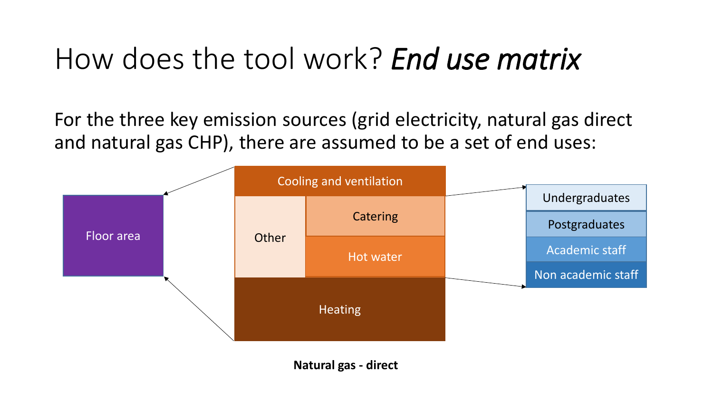#### How does the tool work? *End use matrix*

For the three key emission sources (grid electricity, natural gas direct and natural gas CHP), there are assumed to be a set of end uses:

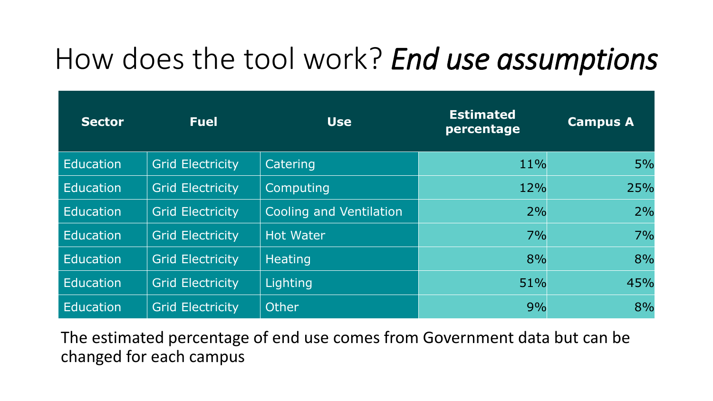### How does the tool work? *End use assumptions*

| <b>Sector</b>    | <b>Fuel</b>             | <b>Use</b>              | <b>Estimated</b><br>percentage | <b>Campus A</b> |
|------------------|-------------------------|-------------------------|--------------------------------|-----------------|
| Education        | <b>Grid Electricity</b> | Catering                | 11%                            | 5%              |
| Education        | <b>Grid Electricity</b> | Computing               | 12%                            | 25%             |
| <b>Education</b> | <b>Grid Electricity</b> | Cooling and Ventilation | 2%                             | 2%              |
| <b>Education</b> | <b>Grid Electricity</b> | <b>Hot Water</b>        | 7%                             | 7%              |
| Education        | <b>Grid Electricity</b> | <b>Heating</b>          | 8%                             | 8%              |
| <b>Education</b> | <b>Grid Electricity</b> | Lighting                | 51%                            | 45%             |
| <b>Education</b> | <b>Grid Electricity</b> | Other                   | 9%                             | 8%              |

The estimated percentage of end use comes from Government data but can be changed for each campus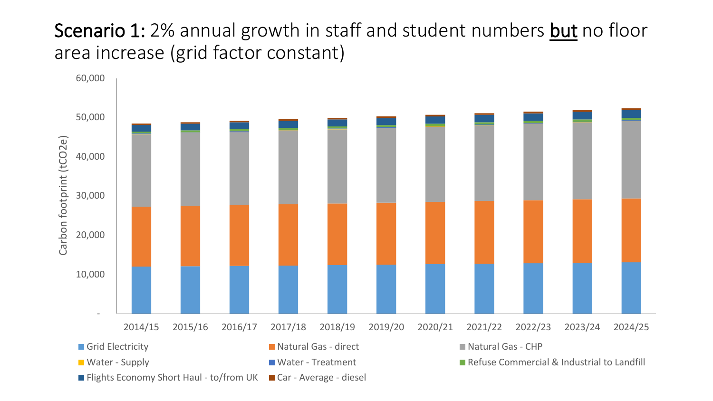#### Scenario 1: 2% annual growth in staff and student numbers but no floor area increase (grid factor constant)

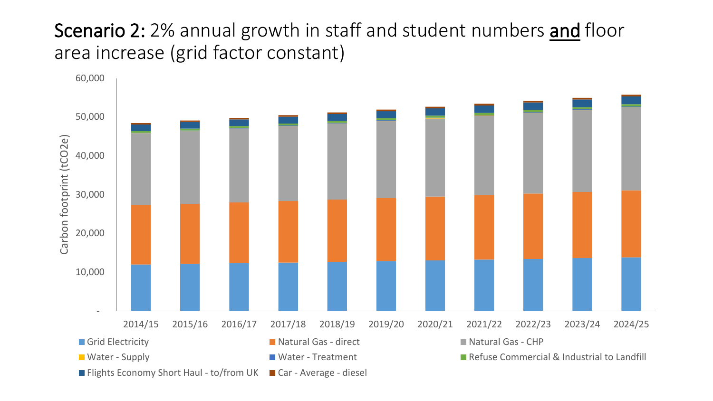#### Scenario 2: 2% annual growth in staff and student numbers and floor area increase (grid factor constant)

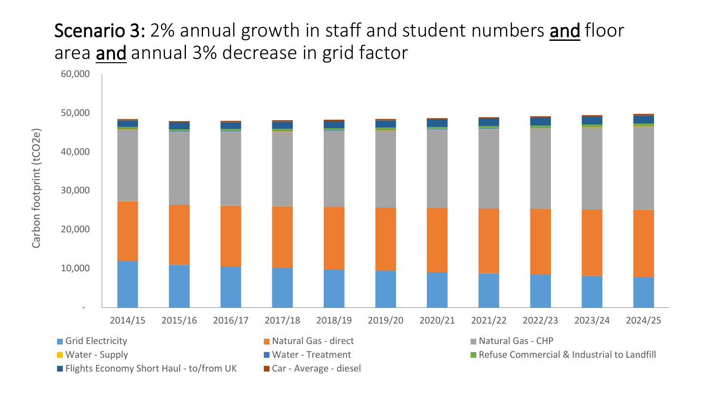#### Scenario 3: 2% annual growth in staff and student numbers and floor area and annual 3% decrease in grid factor

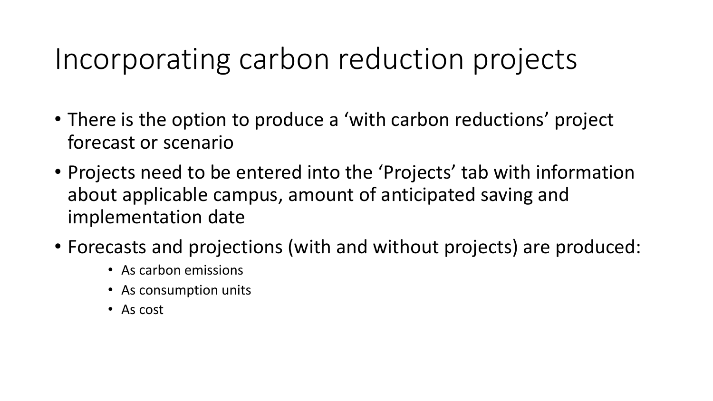#### Incorporating carbon reduction projects

- There is the option to produce a 'with carbon reductions' project forecast or scenario
- Projects need to be entered into the 'Projects' tab with information about applicable campus, amount of anticipated saving and implementation date
- Forecasts and projections (with and without projects) are produced:
	- As carbon emissions
	- As consumption units
	- As cost